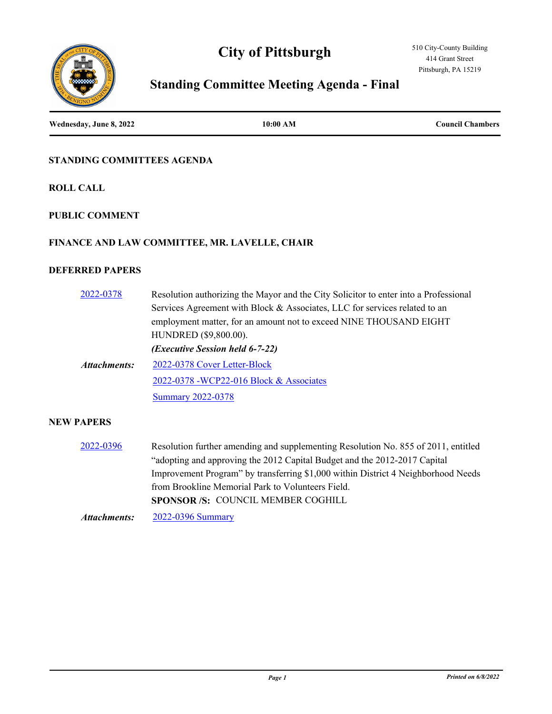# **City of Pittsburgh**





# **Standing Committee Meeting Agenda - Final**

**Wednesday, June 8, 2022 10:00 AM Council Chambers**

## **STANDING COMMITTEES AGENDA**

**ROLL CALL**

### **PUBLIC COMMENT**

### **FINANCE AND LAW COMMITTEE, MR. LAVELLE, CHAIR**

## **DEFERRED PAPERS**

| 2022-0378    | Resolution authorizing the Mayor and the City Solicitor to enter into a Professional |
|--------------|--------------------------------------------------------------------------------------|
|              | Services Agreement with Block & Associates, LLC for services related to an           |
|              | employment matter, for an amount not to exceed NINE THOUSAND EIGHT                   |
|              | HUNDRED (\$9,800.00).                                                                |
|              | ( <i>Executive Session held 6-7-22</i> )                                             |
| Attachments: | 2022-0378 Cover Letter-Block                                                         |
|              | 2022-0378 - WCP22-016 Block & Associates                                             |
|              | <b>Summary 2022-0378</b>                                                             |
|              |                                                                                      |

## **NEW PAPERS**

[2022-0396](http://pittsburgh.legistar.com/gateway.aspx?m=l&id=/matter.aspx?key=27779) Resolution further amending and supplementing Resolution No. 855 of 2011, entitled "adopting and approving the 2012 Capital Budget and the 2012-2017 Capital Improvement Program" by transferring \$1,000 within District 4 Neighborhood Needs from Brookline Memorial Park to Volunteers Field. **SPONSOR /S:** COUNCIL MEMBER COGHILL

*Attachments:* [2022-0396 Summary](http://pittsburgh.legistar.com/gateway.aspx?M=F&ID=1c350e05-e6ae-4ad7-a515-7a81e00bcce0.docx)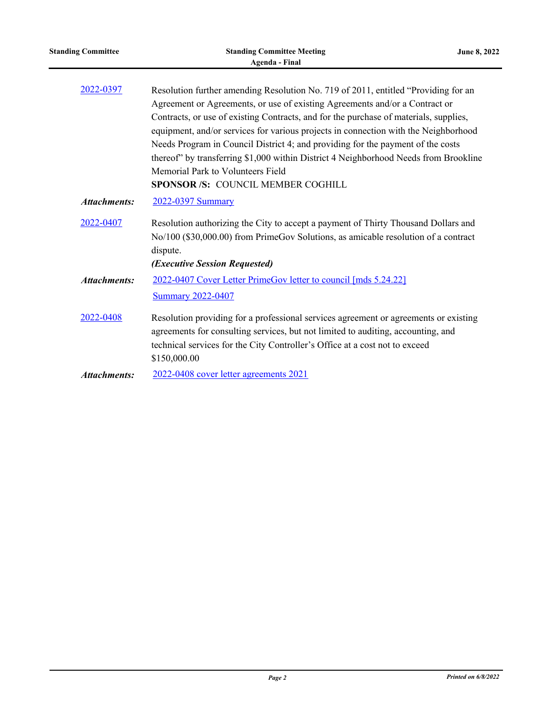| <b>Standing Committee</b> | <b>Standing Committee Meeting</b><br><b>Agenda - Final</b>                                                                                                                                                                                                                                                                                                                                                                                                                                                                                                                                              | June 8, 2022 |
|---------------------------|---------------------------------------------------------------------------------------------------------------------------------------------------------------------------------------------------------------------------------------------------------------------------------------------------------------------------------------------------------------------------------------------------------------------------------------------------------------------------------------------------------------------------------------------------------------------------------------------------------|--------------|
| 2022-0397                 | Resolution further amending Resolution No. 719 of 2011, entitled "Providing for an<br>Agreement or Agreements, or use of existing Agreements and/or a Contract or<br>Contracts, or use of existing Contracts, and for the purchase of materials, supplies,<br>equipment, and/or services for various projects in connection with the Neighborhood<br>Needs Program in Council District 4; and providing for the payment of the costs<br>thereof" by transferring \$1,000 within District 4 Neighborhood Needs from Brookline<br>Memorial Park to Volunteers Field<br>SPONSOR /S: COUNCIL MEMBER COGHILL |              |
| <b>Attachments:</b>       | 2022-0397 Summary                                                                                                                                                                                                                                                                                                                                                                                                                                                                                                                                                                                       |              |
| 2022-0407                 | Resolution authorizing the City to accept a payment of Thirty Thousand Dollars and<br>No/100 (\$30,000.00) from PrimeGov Solutions, as amicable resolution of a contract<br>dispute.<br>(Executive Session Requested)                                                                                                                                                                                                                                                                                                                                                                                   |              |
| <b>Attachments:</b>       | 2022-0407 Cover Letter PrimeGov letter to council [mds 5.24.22]<br><b>Summary 2022-0407</b>                                                                                                                                                                                                                                                                                                                                                                                                                                                                                                             |              |
| 2022-0408                 | Resolution providing for a professional services agreement or agreements or existing<br>agreements for consulting services, but not limited to auditing, accounting, and<br>technical services for the City Controller's Office at a cost not to exceed<br>\$150,000.00                                                                                                                                                                                                                                                                                                                                 |              |
| <b>Attachments:</b>       | 2022-0408 cover letter agreements 2021                                                                                                                                                                                                                                                                                                                                                                                                                                                                                                                                                                  |              |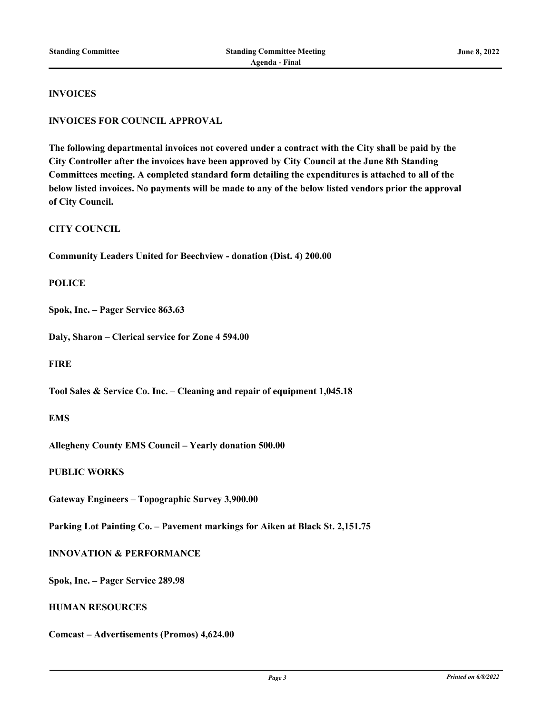#### **INVOICES**

#### **INVOICES FOR COUNCIL APPROVAL**

**The following departmental invoices not covered under a contract with the City shall be paid by the City Controller after the invoices have been approved by City Council at the June 8th Standing Committees meeting. A completed standard form detailing the expenditures is attached to all of the below listed invoices. No payments will be made to any of the below listed vendors prior the approval of City Council.**

#### **CITY COUNCIL**

**Community Leaders United for Beechview - donation (Dist. 4) 200.00**

#### **POLICE**

**Spok, Inc. – Pager Service 863.63**

**Daly, Sharon – Clerical service for Zone 4 594.00**

**FIRE**

**Tool Sales & Service Co. Inc. – Cleaning and repair of equipment 1,045.18**

### **EMS**

**Allegheny County EMS Council – Yearly donation 500.00**

#### **PUBLIC WORKS**

**Gateway Engineers – Topographic Survey 3,900.00**

**Parking Lot Painting Co. – Pavement markings for Aiken at Black St. 2,151.75**

#### **INNOVATION & PERFORMANCE**

**Spok, Inc. – Pager Service 289.98**

## **HUMAN RESOURCES**

**Comcast – Advertisements (Promos) 4,624.00**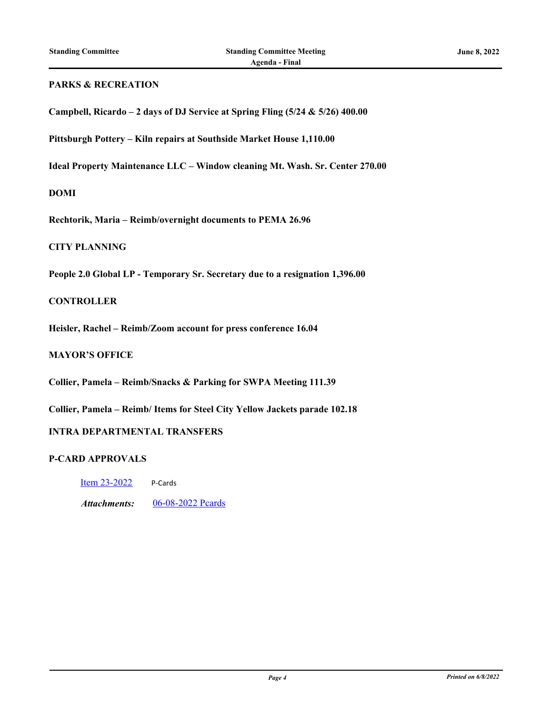## **PARKS & RECREATION**

| Campbell, Ricardo – 2 days of DJ Service at Spring Fling (5/24 & 5/26) 400.00 |  |  |
|-------------------------------------------------------------------------------|--|--|
|                                                                               |  |  |

**Pittsburgh Pottery – Kiln repairs at Southside Market House 1,110.00**

**Ideal Property Maintenance LLC – Window cleaning Mt. Wash. Sr. Center 270.00**

#### **DOMI**

**Rechtorik, Maria – Reimb/overnight documents to PEMA 26.96**

#### **CITY PLANNING**

**People 2.0 Global LP - Temporary Sr. Secretary due to a resignation 1,396.00**

#### **CONTROLLER**

**Heisler, Rachel – Reimb/Zoom account for press conference 16.04**

#### **MAYOR'S OFFICE**

**Collier, Pamela – Reimb/Snacks & Parking for SWPA Meeting 111.39**

**Collier, Pamela – Reimb/ Items for Steel City Yellow Jackets parade 102.18**

### **INTRA DEPARTMENTAL TRANSFERS**

## **P-CARD APPROVALS**

[Item 23-2022](http://pittsburgh.legistar.com/gateway.aspx?m=l&id=/matter.aspx?key=27837) P-Cards

*Attachments:* [06-08-2022 Pcards](http://pittsburgh.legistar.com/gateway.aspx?M=F&ID=a618ce6a-5c61-4ecf-9cce-79df029fae8a.xlsx)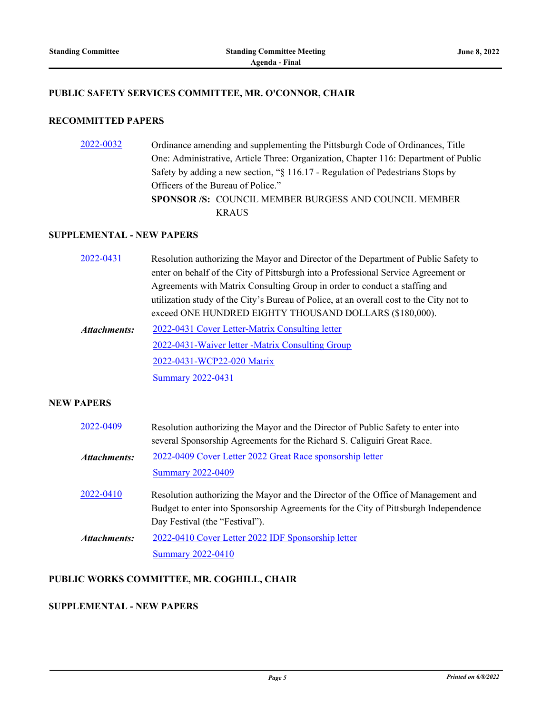#### **PUBLIC SAFETY SERVICES COMMITTEE, MR. O'CONNOR, CHAIR**

## **RECOMMITTED PAPERS**

[2022-0032](http://pittsburgh.legistar.com/gateway.aspx?m=l&id=/matter.aspx?key=27324) Ordinance amending and supplementing the Pittsburgh Code of Ordinances, Title One: Administrative, Article Three: Organization, Chapter 116: Department of Public Safety by adding a new section, "§ 116.17 - Regulation of Pedestrians Stops by Officers of the Bureau of Police." **SPONSOR /S:** COUNCIL MEMBER BURGESS AND COUNCIL MEMBER KRAUS

## **SUPPLEMENTAL - NEW PAPERS**

| 2022-0431    | Resolution authorizing the Mayor and Director of the Department of Public Safety to     |
|--------------|-----------------------------------------------------------------------------------------|
|              | enter on behalf of the City of Pittsburgh into a Professional Service Agreement or      |
|              | Agreements with Matrix Consulting Group in order to conduct a staffing and              |
|              | utilization study of the City's Bureau of Police, at an overall cost to the City not to |
|              | exceed ONE HUNDRED EIGHTY THOUSAND DOLLARS (\$180,000).                                 |
| Attachments: | 2022-0431 Cover Letter-Matrix Consulting letter                                         |
|              | 2022-0431-Waiver letter -Matrix Consulting Group                                        |
|              | 2022-0431-WCP22-020 Matrix                                                              |
|              | <b>Summary 2022-0431</b>                                                                |

#### **NEW PAPERS**

| 2022-0409           | Resolution authorizing the Mayor and the Director of Public Safety to enter into    |
|---------------------|-------------------------------------------------------------------------------------|
|                     | several Sponsorship Agreements for the Richard S. Caliguiri Great Race.             |
| <b>Attachments:</b> | 2022-0409 Cover Letter 2022 Great Race sponsorship letter                           |
|                     | <b>Summary 2022-0409</b>                                                            |
| 2022-0410           | Resolution authorizing the Mayor and the Director of the Office of Management and   |
|                     | Budget to enter into Sponsorship Agreements for the City of Pittsburgh Independence |
|                     | Day Festival (the "Festival").                                                      |
| <b>Attachments:</b> | 2022-0410 Cover Letter 2022 IDF Sponsorship letter                                  |
|                     | <b>Summary 2022-0410</b>                                                            |

## **PUBLIC WORKS COMMITTEE, MR. COGHILL, CHAIR**

## **SUPPLEMENTAL - NEW PAPERS**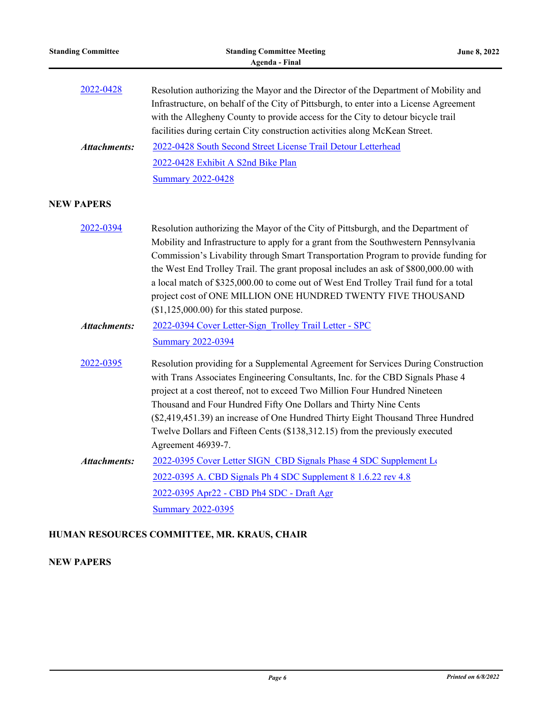| <b>Standing Committee</b> | <b>Standing Committee Meeting</b><br>June 8, 2022<br><b>Agenda - Final</b>                                                                                                                                                                                                                                                                                                                                                                                                                                                                                   |  |
|---------------------------|--------------------------------------------------------------------------------------------------------------------------------------------------------------------------------------------------------------------------------------------------------------------------------------------------------------------------------------------------------------------------------------------------------------------------------------------------------------------------------------------------------------------------------------------------------------|--|
| 2022-0428                 | Resolution authorizing the Mayor and the Director of the Department of Mobility and<br>Infrastructure, on behalf of the City of Pittsburgh, to enter into a License Agreement<br>with the Allegheny County to provide access for the City to detour bicycle trail<br>facilities during certain City construction activities along McKean Street.                                                                                                                                                                                                             |  |
| <b>Attachments:</b>       | 2022-0428 South Second Street License Trail Detour Letterhead                                                                                                                                                                                                                                                                                                                                                                                                                                                                                                |  |
|                           | 2022-0428 Exhibit A S2nd Bike Plan                                                                                                                                                                                                                                                                                                                                                                                                                                                                                                                           |  |
|                           | <b>Summary 2022-0428</b>                                                                                                                                                                                                                                                                                                                                                                                                                                                                                                                                     |  |
| <b>NEW PAPERS</b>         |                                                                                                                                                                                                                                                                                                                                                                                                                                                                                                                                                              |  |
| 2022-0394                 | Resolution authorizing the Mayor of the City of Pittsburgh, and the Department of<br>Mobility and Infrastructure to apply for a grant from the Southwestern Pennsylvania<br>Commission's Livability through Smart Transportation Program to provide funding for<br>the West End Trolley Trail. The grant proposal includes an ask of \$800,000.00 with<br>a local match of \$325,000.00 to come out of West End Trolley Trail fund for a total<br>project cost of ONE MILLION ONE HUNDRED TWENTY FIVE THOUSAND<br>$($1,125,000.00)$ for this stated purpose. |  |
| <b>Attachments:</b>       | 2022-0394 Cover Letter-Sign Trolley Trail Letter - SPC                                                                                                                                                                                                                                                                                                                                                                                                                                                                                                       |  |
|                           | <b>Summary 2022-0394</b>                                                                                                                                                                                                                                                                                                                                                                                                                                                                                                                                     |  |
| 2022-0395                 | Resolution providing for a Supplemental Agreement for Services During Construction<br>with Trans Associates Engineering Consultants, Inc. for the CBD Signals Phase 4<br>project at a cost thereof, not to exceed Two Million Four Hundred Nineteen<br>Thousand and Four Hundred Fifty One Dollars and Thirty Nine Cents<br>(\$2,419,451.39) an increase of One Hundred Thirty Eight Thousand Three Hundred<br>Twelve Dollars and Fifteen Cents (\$138,312.15) from the previously executed<br>Agreement 46939-7.                                            |  |
| <b>Attachments:</b>       | 2022-0395 Cover Letter SIGN CBD Signals Phase 4 SDC Supplement Los                                                                                                                                                                                                                                                                                                                                                                                                                                                                                           |  |
|                           | 2022-0395 A. CBD Signals Ph 4 SDC Supplement 8 1.6.22 rev 4.8                                                                                                                                                                                                                                                                                                                                                                                                                                                                                                |  |
|                           | 2022-0395 Apr22 - CBD Ph4 SDC - Draft Agr                                                                                                                                                                                                                                                                                                                                                                                                                                                                                                                    |  |
|                           | <b>Summary 2022-0395</b>                                                                                                                                                                                                                                                                                                                                                                                                                                                                                                                                     |  |
|                           |                                                                                                                                                                                                                                                                                                                                                                                                                                                                                                                                                              |  |

# **HUMAN RESOURCES COMMITTEE, MR. KRAUS, CHAIR**

# **NEW PAPERS**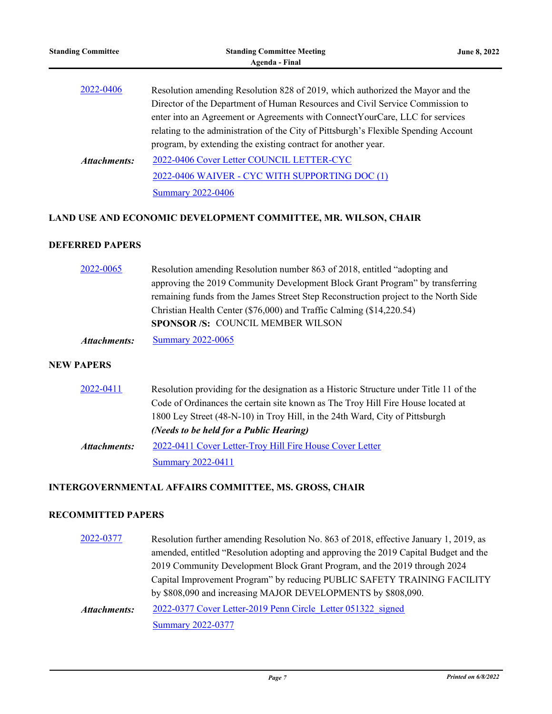| <b>Standing Committee</b> | <b>Standing Committee Meeting</b><br>Agenda - Final                                                                                                                    | <b>June 8, 2022</b> |
|---------------------------|------------------------------------------------------------------------------------------------------------------------------------------------------------------------|---------------------|
| 2022-0406                 | Resolution amending Resolution 828 of 2019, which authorized the Mayor and the<br>Director of the Department of Human Resources and Civil Service Commission to        |                     |
|                           | enter into an Agreement or Agreements with Connect Your Care, LLC for services<br>relating to the administration of the City of Pittsburgh's Flexible Spending Account |                     |
| Attachments:              | program, by extending the existing contract for another year.<br>2022-0406 Cover Letter COUNCIL LETTER-CYC                                                             |                     |
|                           | 2022-0406 WAIVER - CYC WITH SUPPORTING DOC (1)<br><b>Summary 2022-0406</b>                                                                                             |                     |

## **LAND USE AND ECONOMIC DEVELOPMENT COMMITTEE, MR. WILSON, CHAIR**

## **DEFERRED PAPERS**

| 2022-0065    | Resolution amending Resolution number 863 of 2018, entitled "adopting and           |
|--------------|-------------------------------------------------------------------------------------|
|              | approving the 2019 Community Development Block Grant Program" by transferring       |
|              | remaining funds from the James Street Step Reconstruction project to the North Side |
|              | Christian Health Center (\$76,000) and Traffic Calming (\$14,220.54)                |
|              | SPONSOR /S: COUNCIL MEMBER WILSON                                                   |
| Attachments: | <b>Summary 2022-0065</b>                                                            |

## **NEW PAPERS**

| 2022-0411           | Resolution providing for the designation as a Historic Structure under Title 11 of the |
|---------------------|----------------------------------------------------------------------------------------|
|                     | Code of Ordinances the certain site known as The Troy Hill Fire House located at       |
|                     | 1800 Ley Street (48-N-10) in Troy Hill, in the 24th Ward, City of Pittsburgh           |
|                     | (Needs to be held for a Public Hearing)                                                |
| <b>Attachments:</b> | 2022-0411 Cover Letter-Troy Hill Fire House Cover Letter                               |
|                     | <b>Summary 2022-0411</b>                                                               |

# **INTERGOVERNMENTAL AFFAIRS COMMITTEE, MS. GROSS, CHAIR**

## **RECOMMITTED PAPERS**

| 2022-0377           | Resolution further amending Resolution No. 863 of 2018, effective January 1, 2019, as |
|---------------------|---------------------------------------------------------------------------------------|
|                     | amended, entitled "Resolution adopting and approving the 2019 Capital Budget and the  |
|                     | 2019 Community Development Block Grant Program, and the 2019 through 2024             |
|                     | Capital Improvement Program" by reducing PUBLIC SAFETY TRAINING FACILITY              |
|                     | by \$808,090 and increasing MAJOR DEVELOPMENTS by \$808,090.                          |
| <b>Attachments:</b> | 2022-0377 Cover Letter-2019 Penn Circle Letter 051322 signed                          |
|                     | <b>Summary 2022-0377</b>                                                              |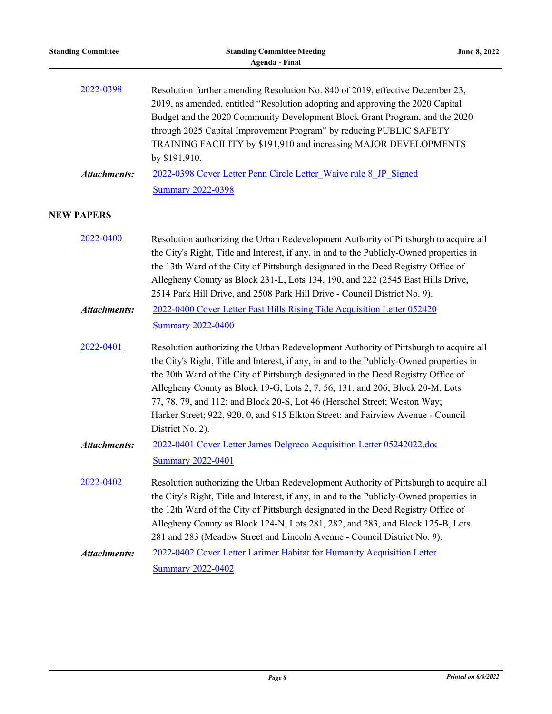| <b>Standing Committee</b> | <b>Standing Committee Meeting</b><br>June 8, 2022<br><b>Agenda - Final</b>                                                                                                                                                                                                                                                                                                                                                                                                                                                                   |  |
|---------------------------|----------------------------------------------------------------------------------------------------------------------------------------------------------------------------------------------------------------------------------------------------------------------------------------------------------------------------------------------------------------------------------------------------------------------------------------------------------------------------------------------------------------------------------------------|--|
| 2022-0398                 | Resolution further amending Resolution No. 840 of 2019, effective December 23,<br>2019, as amended, entitled "Resolution adopting and approving the 2020 Capital<br>Budget and the 2020 Community Development Block Grant Program, and the 2020<br>through 2025 Capital Improvement Program" by reducing PUBLIC SAFETY<br>TRAINING FACILITY by \$191,910 and increasing MAJOR DEVELOPMENTS<br>by \$191,910.                                                                                                                                  |  |
| <b>Attachments:</b>       | 2022-0398 Cover Letter Penn Circle Letter Waive rule 8 JP Signed                                                                                                                                                                                                                                                                                                                                                                                                                                                                             |  |
|                           | <b>Summary 2022-0398</b>                                                                                                                                                                                                                                                                                                                                                                                                                                                                                                                     |  |
| <b>NEW PAPERS</b>         |                                                                                                                                                                                                                                                                                                                                                                                                                                                                                                                                              |  |
| 2022-0400                 | Resolution authorizing the Urban Redevelopment Authority of Pittsburgh to acquire all<br>the City's Right, Title and Interest, if any, in and to the Publicly-Owned properties in<br>the 13th Ward of the City of Pittsburgh designated in the Deed Registry Office of<br>Allegheny County as Block 231-L, Lots 134, 190, and 222 (2545 East Hills Drive,<br>2514 Park Hill Drive, and 2508 Park Hill Drive - Council District No. 9).                                                                                                       |  |
| <b>Attachments:</b>       | 2022-0400 Cover Letter East Hills Rising Tide Acquisition Letter 052420<br><b>Summary 2022-0400</b>                                                                                                                                                                                                                                                                                                                                                                                                                                          |  |
| 2022-0401                 | Resolution authorizing the Urban Redevelopment Authority of Pittsburgh to acquire all<br>the City's Right, Title and Interest, if any, in and to the Publicly-Owned properties in<br>the 20th Ward of the City of Pittsburgh designated in the Deed Registry Office of<br>Allegheny County as Block 19-G, Lots 2, 7, 56, 131, and 206; Block 20-M, Lots<br>77, 78, 79, and 112; and Block 20-S, Lot 46 (Herschel Street; Weston Way;<br>Harker Street; 922, 920, 0, and 915 Elkton Street; and Fairview Avenue - Council<br>District No. 2). |  |
| <b>Attachments:</b>       | 2022-0401 Cover Letter James Delgreco Acquisition Letter 05242022.doc<br><b>Summary 2022-0401</b>                                                                                                                                                                                                                                                                                                                                                                                                                                            |  |
| 2022-0402                 | Resolution authorizing the Urban Redevelopment Authority of Pittsburgh to acquire all<br>the City's Right, Title and Interest, if any, in and to the Publicly-Owned properties in<br>the 12th Ward of the City of Pittsburgh designated in the Deed Registry Office of<br>Allegheny County as Block 124-N, Lots 281, 282, and 283, and Block 125-B, Lots<br>281 and 283 (Meadow Street and Lincoln Avenue - Council District No. 9).                                                                                                         |  |
| <b>Attachments:</b>       | 2022-0402 Cover Letter Larimer Habitat for Humanity Acquisition Letter                                                                                                                                                                                                                                                                                                                                                                                                                                                                       |  |
|                           | <b>Summary 2022-0402</b>                                                                                                                                                                                                                                                                                                                                                                                                                                                                                                                     |  |